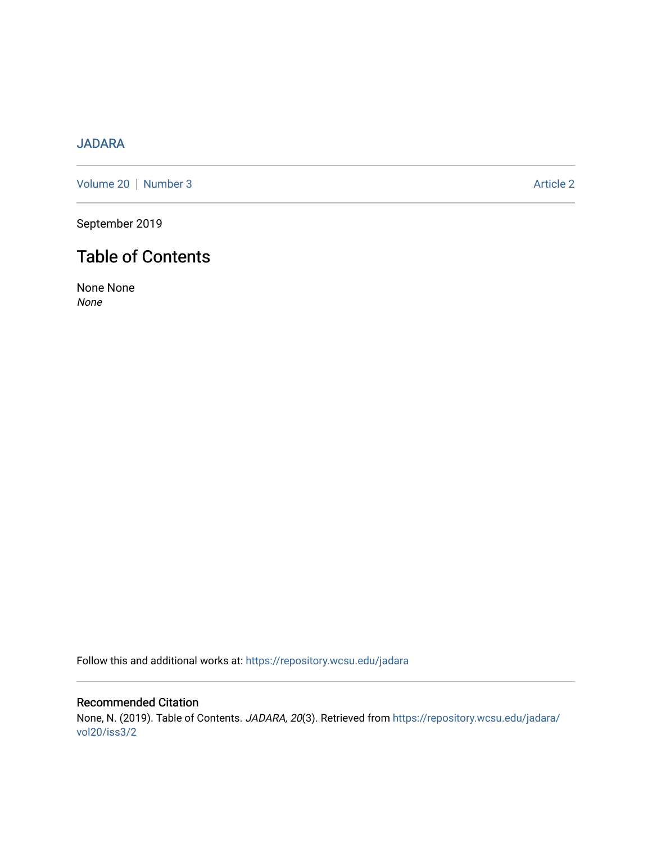# [JADARA](https://repository.wcsu.edu/jadara)

[Volume 20](https://repository.wcsu.edu/jadara/vol20) | [Number 3](https://repository.wcsu.edu/jadara/vol20/iss3) Article 2

September 2019

# Table of Contents

None None None

Follow this and additional works at: [https://repository.wcsu.edu/jadara](https://repository.wcsu.edu/jadara?utm_source=repository.wcsu.edu%2Fjadara%2Fvol20%2Fiss3%2F2&utm_medium=PDF&utm_campaign=PDFCoverPages)

Recommended Citation None, N. (2019). Table of Contents. JADARA, 20(3). Retrieved from [https://repository.wcsu.edu/jadara/](https://repository.wcsu.edu/jadara/vol20/iss3/2?utm_source=repository.wcsu.edu%2Fjadara%2Fvol20%2Fiss3%2F2&utm_medium=PDF&utm_campaign=PDFCoverPages) [vol20/iss3/2](https://repository.wcsu.edu/jadara/vol20/iss3/2?utm_source=repository.wcsu.edu%2Fjadara%2Fvol20%2Fiss3%2F2&utm_medium=PDF&utm_campaign=PDFCoverPages)